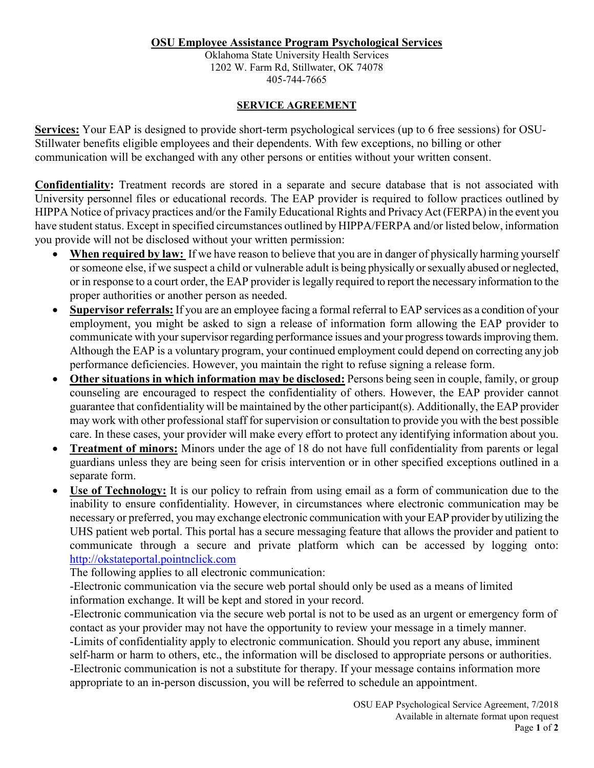## **OSU Employee Assistance Program Psychological Services**

Oklahoma State University Health Services 1202 W. Farm Rd, Stillwater, OK 74078 405-744-7665

## **SERVICE AGREEMENT**

**Services:** Your EAP is designed to provide short-term psychological services (up to 6 free sessions) for OSU-Stillwater benefits eligible employees and their dependents. With few exceptions, no billing or other communication will be exchanged with any other persons or entities without your written consent.

**Confidentiality:** Treatment records are stored in a separate and secure database that is not associated with University personnel files or educational records. The EAP provider is required to follow practices outlined by HIPPA Notice of privacy practices and/or the Family Educational Rights and Privacy Act (FERPA) in the event you have student status. Except in specified circumstances outlined by HIPPA/FERPA and/or listed below, information you provide will not be disclosed without your written permission:

- When required by law: If we have reason to believe that you are in danger of physically harming yourself or someone else, if we suspect a child or vulnerable adult is being physically or sexually abused or neglected, or in response to a court order, the EAP provider is legally required to report the necessary information to the proper authorities or another person as needed.
- **Supervisor referrals:** If you are an employee facing a formal referral to EAP services as a condition of your employment, you might be asked to sign a release of information form allowing the EAP provider to communicate with your supervisor regarding performance issues and your progress towards improving them. Although the EAP is a voluntary program, your continued employment could depend on correcting any job performance deficiencies. However, you maintain the right to refuse signing a release form.
- **Other situations in which information may be disclosed:** Persons being seen in couple, family, or group counseling are encouraged to respect the confidentiality of others. However, the EAP provider cannot guarantee that confidentiality will be maintained by the other participant(s). Additionally, the EAP provider may work with other professional staff for supervision or consultation to provide you with the best possible care. In these cases, your provider will make every effort to protect any identifying information about you.
- **Treatment of minors:** Minors under the age of 18 do not have full confidentiality from parents or legal guardians unless they are being seen for crisis intervention or in other specified exceptions outlined in a separate form.
- **Use of Technology:** It is our policy to refrain from using email as a form of communication due to the inability to ensure confidentiality. However, in circumstances where electronic communication may be necessary or preferred, you may exchange electronic communication with your EAP provider by utilizing the UHS patient web portal. This portal has a secure messaging feature that allows the provider and patient to communicate through a secure and private platform which can be accessed by logging onto: [http://okstateportal.pointnclick.com](http://okstateportal.pointnclick.com/)

The following applies to all electronic communication:

-Electronic communication via the secure web portal should only be used as a means of limited information exchange. It will be kept and stored in your record.

-Electronic communication via the secure web portal is not to be used as an urgent or emergency form of contact as your provider may not have the opportunity to review your message in a timely manner.

-Limits of confidentiality apply to electronic communication. Should you report any abuse, imminent self-harm or harm to others, etc., the information will be disclosed to appropriate persons or authorities. -Electronic communication is not a substitute for therapy. If your message contains information more appropriate to an in-person discussion, you will be referred to schedule an appointment.